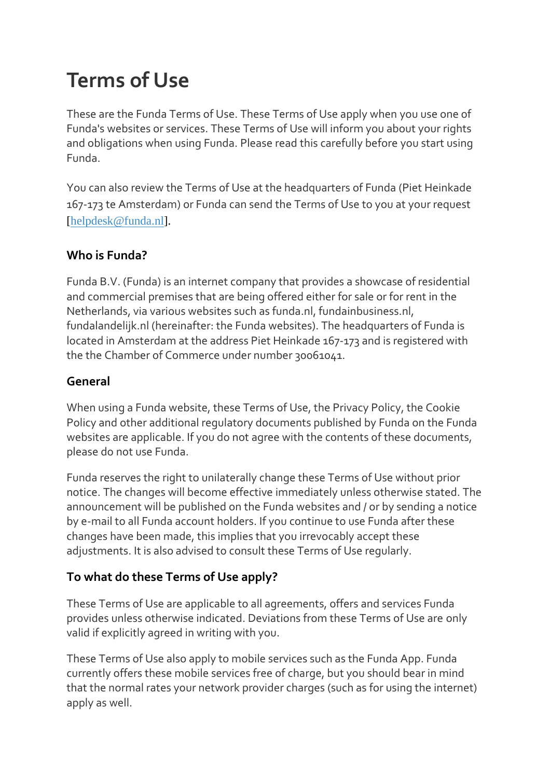# **Terms of Use**

These are the Funda Terms of Use. These Terms of Use apply when you use one of Funda's websites or services. These Terms of Use will inform you about your rights and obligations when using Funda. Please read this carefully before you start using Funda.

You can also review the Terms of Use at the headquarters of Funda (Piet Heinkade 167-173 te Amsterdam) or Funda can send the Terms of Use to you at your request [\[helpdesk@funda.nl\]](mailto:helpdesk@funda.nl).

# **Who is Funda?**

Funda B.V. (Funda) is an internet company that provides a showcase of residential and commercial premises that are being offered either for sale or for rent in the Netherlands, via various websites such as funda.nl, fundainbusiness.nl, fundalandelijk.nl (hereinafter: the Funda websites). The headquarters of Funda is located in Amsterdam at the address Piet Heinkade 167-173 and is registered with the the Chamber of Commerce under number 30061041.

#### **General**

When using a Funda website, these Terms of Use, the Privacy Policy, the Cookie Policy and other additional regulatory documents published by Funda on the Funda websites are applicable. If you do not agree with the contents of these documents, please do not use Funda.

Funda reserves the right to unilaterally change these Terms of Use without prior notice. The changes will become effective immediately unless otherwise stated. The announcement will be published on the Funda websites and / or by sending a notice by e-mail to all Funda account holders. If you continue to use Funda after these changes have been made, this implies that you irrevocably accept these adjustments. It is also advised to consult these Terms of Use regularly.

# **To what do these Terms of Use apply?**

These Terms of Use are applicable to all agreements, offers and services Funda provides unless otherwise indicated. Deviations from these Terms of Use are only valid if explicitly agreed in writing with you.

These Terms of Use also apply to mobile services such as the Funda App. Funda currently offers these mobile services free of charge, but you should bear in mind that the normal rates your network provider charges (such as for using the internet) apply as well.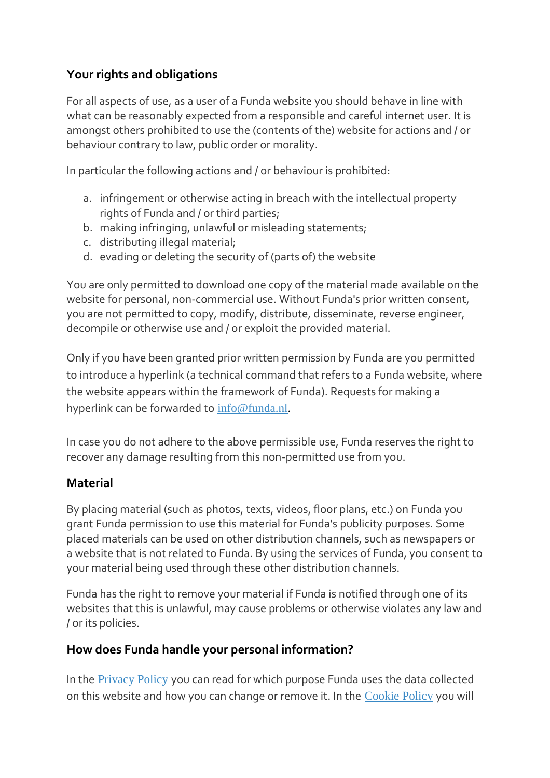# **Your rights and obligations**

For all aspects of use, as a user of a Funda website you should behave in line with what can be reasonably expected from a responsible and careful internet user. It is amongst others prohibited to use the (contents of the) website for actions and / or behaviour contrary to law, public order or morality.

In particular the following actions and / or behaviour is prohibited:

- a. infringement or otherwise acting in breach with the intellectual property rights of Funda and / or third parties;
- b. making infringing, unlawful or misleading statements;
- c. distributing illegal material;
- d. evading or deleting the security of (parts of) the website

You are only permitted to download one copy of the material made available on the website for personal, non-commercial use. Without Funda's prior written consent, you are not permitted to copy, modify, distribute, disseminate, reverse engineer, decompile or otherwise use and / or exploit the provided material.

Only if you have been granted prior written permission by Funda are you permitted to introduce a hyperlink (a technical command that refers to a Funda website, where the website appears within the framework of Funda). Requests for making a hyperlink can be forwarded to [info@funda.nl.](mailto:info@funda.nl)

In case you do not adhere to the above permissible use, Funda reserves the right to recover any damage resulting from this non-permitted use from you.

#### **Material**

By placing material (such as photos, texts, videos, floor plans, etc.) on Funda you grant Funda permission to use this material for Funda's publicity purposes. Some placed materials can be used on other distribution channels, such as newspapers or a website that is not related to Funda. By using the services of Funda, you consent to your material being used through these other distribution channels.

Funda has the right to remove your material if Funda is notified through one of its websites that this is unlawful, may cause problems or otherwise violates any law and / or its policies.

#### **How does Funda handle your personal information?**

In the [Privacy Policy](http://www.funda.nl/en/privacybeleid/) you can read for which purpose Funda uses the data collected on this website and how you can change or remove it. In the [Cookie Policy](http://www.funda.nl/cookiebeleid/) you will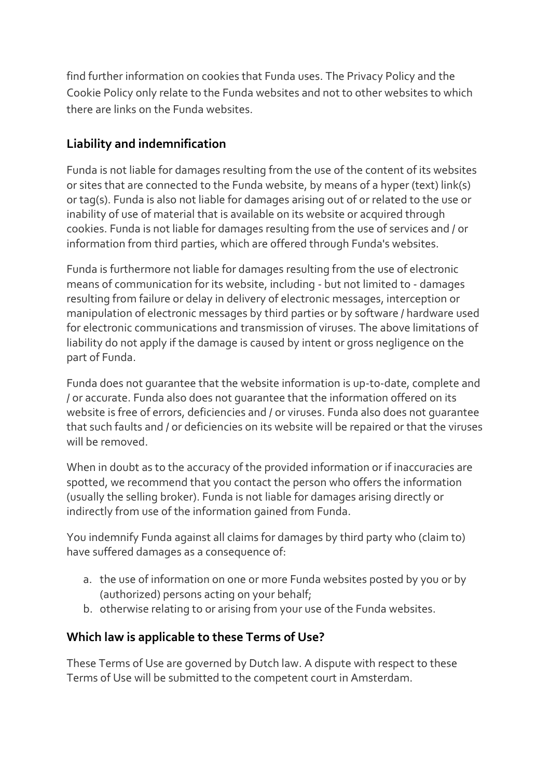find further information on cookies that Funda uses. The Privacy Policy and the Cookie Policy only relate to the Funda websites and not to other websites to which there are links on the Funda websites.

## **Liability and indemnification**

Funda is not liable for damages resulting from the use of the content of its websites or sites that are connected to the Funda website, by means of a hyper (text) link(s) or tag(s). Funda is also not liable for damages arising out of or related to the use or inability of use of material that is available on its website or acquired through cookies. Funda is not liable for damages resulting from the use of services and / or information from third parties, which are offered through Funda's websites.

Funda is furthermore not liable for damages resulting from the use of electronic means of communication for its website, including - but not limited to - damages resulting from failure or delay in delivery of electronic messages, interception or manipulation of electronic messages by third parties or by software / hardware used for electronic communications and transmission of viruses. The above limitations of liability do not apply if the damage is caused by intent or gross negligence on the part of Funda.

Funda does not guarantee that the website information is up-to-date, complete and / or accurate. Funda also does not guarantee that the information offered on its website is free of errors, deficiencies and / or viruses. Funda also does not guarantee that such faults and / or deficiencies on its website will be repaired or that the viruses will be removed.

When in doubt as to the accuracy of the provided information or if inaccuracies are spotted, we recommend that you contact the person who offers the information (usually the selling broker). Funda is not liable for damages arising directly or indirectly from use of the information gained from Funda.

You indemnify Funda against all claims for damages by third party who (claim to) have suffered damages as a consequence of:

- a. the use of information on one or more Funda websites posted by you or by (authorized) persons acting on your behalf;
- b. otherwise relating to or arising from your use of the Funda websites.

#### **Which law is applicable to these Terms of Use?**

These Terms of Use are governed by Dutch law. A dispute with respect to these Terms of Use will be submitted to the competent court in Amsterdam.